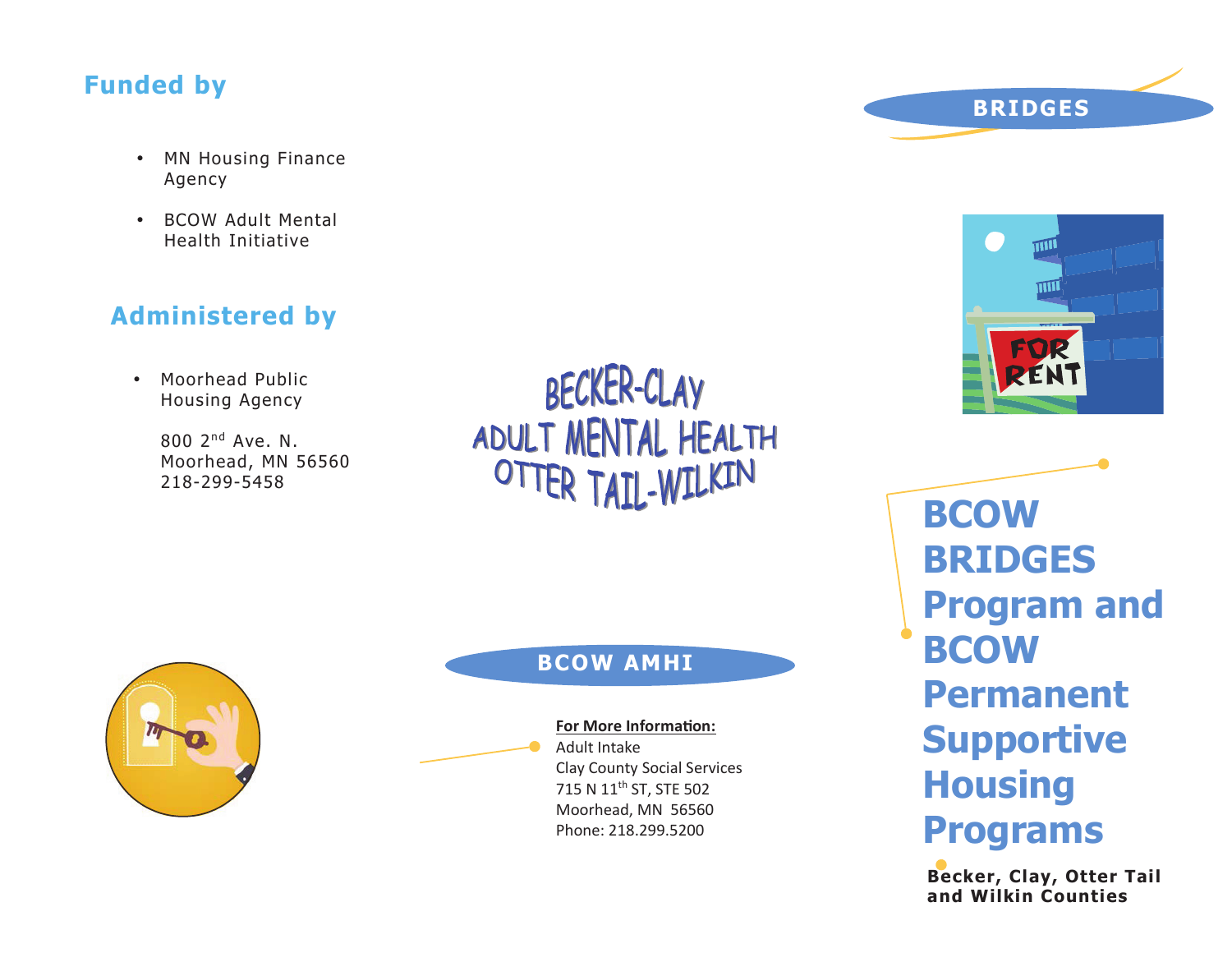# **Funded by**

- MN Housing Finance Agency
- BCOW Adult Mental Health Initiative

# **Administered by**

• Moorhead Public Housing Agency

> $800$   $2^{nd}$  Ave. N. Moorhead, MN 56560 218-299-5458

BECKER-CLAY ADULT MENTAL HEALTH OTTER TAIL-WILKIN



### **BCOW AMHI**

**For More Information:**

Adult Intake Clay County Social Services 715 N 11th ST, STE 502 Moorhead, MN 56560 Phone: 218.299.5200



**BRIDGES**

O)

**BCOW BRIDGES Program and BCOW Permanent Supportive Housing Programs**

**Becker, Clay, Otter Tail and Wilkin Counties**